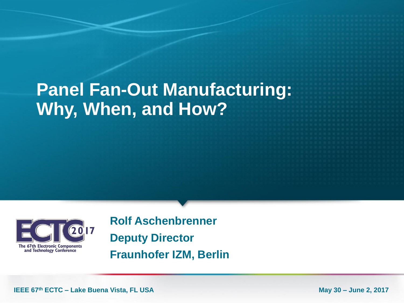# **Panel Fan-Out Manufacturing: Why, When, and How?**



**Rolf Aschenbrenner Deputy Director Fraunhofer IZM, Berlin**

**IEEE 67<sup>th</sup> ECTC – Lake Buena Vista, FL USA May 30 – June 2, 2017**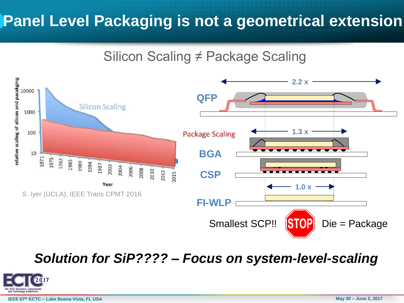## **Panel Level Packaging is not a geometrical extension**

#### Silicon Scaling ≠ Package Scaling



*Solution for SiP???? – Focus on system-level-scaling*

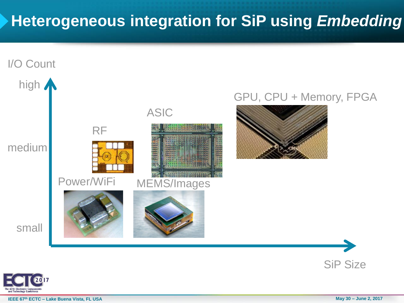## **Heterogeneous integration for SiP using** *Embedding*



**IEEE 67<sup>th</sup> ECTC – Lake Buena Vista, FL USA May 30 – June 2, 2017**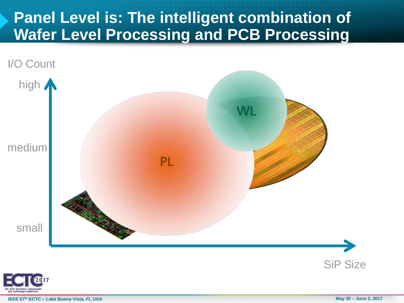### **Panel Level is: The intelligent combination of Wafer Level Processing and PCB Processing**